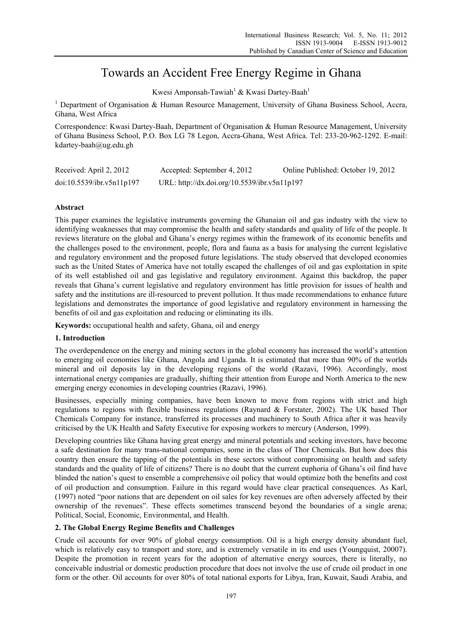# Towards an Accident Free Energy Regime in Ghana

Kwesi Amponsah-Tawiah<sup>1</sup> & Kwasi Dartey-Baah<sup>1</sup>

<sup>1</sup> Department of Organisation & Human Resource Management, University of Ghana Business School, Accra, Ghana, West Africa

Correspondence: Kwasi Dartey-Baah, Department of Organisation & Human Resource Management, University of Ghana Business School, P.O. Box LG 78 Legon, Accra-Ghana, West Africa. Tel: 233-20-962-1292. E-mail: kdartey-baah@ug.edu.gh

| Received: April 2, 2012   | Accepted: September 4, 2012                  | Online Published: October 19, 2012 |
|---------------------------|----------------------------------------------|------------------------------------|
| doi:10.5539/ibr.v5n11p197 | URL: http://dx.doi.org/10.5539/ibr.v5n11p197 |                                    |

## **Abstract**

This paper examines the legislative instruments governing the Ghanaian oil and gas industry with the view to identifying weaknesses that may compromise the health and safety standards and quality of life of the people. It reviews literature on the global and Ghana's energy regimes within the framework of its economic benefits and the challenges posed to the environment, people, flora and fauna as a basis for analysing the current legislative and regulatory environment and the proposed future legislations. The study observed that developed economies such as the United States of America have not totally escaped the challenges of oil and gas exploitation in spite of its well established oil and gas legislative and regulatory environment. Against this backdrop, the paper reveals that Ghana's current legislative and regulatory environment has little provision for issues of health and safety and the institutions are ill-resourced to prevent pollution. It thus made recommendations to enhance future legislations and demonstrates the importance of good legislative and regulatory environment in harnessing the benefits of oil and gas exploitation and reducing or eliminating its ills.

**Keywords:** occupational health and safety, Ghana, oil and energy

## **1. Introduction**

The overdependence on the energy and mining sectors in the global economy has increased the world's attention to emerging oil economies like Ghana, Angola and Uganda. It is estimated that more than 90% of the worlds mineral and oil deposits lay in the developing regions of the world (Razavi, 1996). Accordingly, most international energy companies are gradually, shifting their attention from Europe and North America to the new emerging energy economies in developing countries (Razavi, 1996).

Businesses, especially mining companies, have been known to move from regions with strict and high regulations to regions with flexible business regulations (Raynard & Forstater, 2002). The UK based Thor Chemicals Company for instance, transferred its processes and machinery to South Africa after it was heavily criticised by the UK Health and Safety Executive for exposing workers to mercury (Anderson, 1999).

Developing countries like Ghana having great energy and mineral potentials and seeking investors, have become a safe destination for many trans-national companies, some in the class of Thor Chemicals. But how does this country then ensure the tapping of the potentials in these sectors without compromising on health and safety standards and the quality of life of citizens? There is no doubt that the current euphoria of Ghana's oil find have blinded the nation's quest to ensemble a comprehensive oil policy that would optimize both the benefits and cost of oil production and consumption. Failure in this regard would have clear practical consequences. As Karl, (1997) noted "poor nations that are dependent on oil sales for key revenues are often adversely affected by their ownership of the revenues". These effects sometimes transcend beyond the boundaries of a single arena; Political, Social, Economic, Environmental, and Health.

## **2. The Global Energy Regime Benefits and Challenges**

Crude oil accounts for over 90% of global energy consumption. Oil is a high energy density abundant fuel, which is relatively easy to transport and store, and is extremely versatile in its end uses (Youngquist, 20007). Despite the promotion in recent years for the adoption of alternative energy sources, there is literally, no conceivable industrial or domestic production procedure that does not involve the use of crude oil product in one form or the other. Oil accounts for over 80% of total national exports for Libya, Iran, Kuwait, Saudi Arabia, and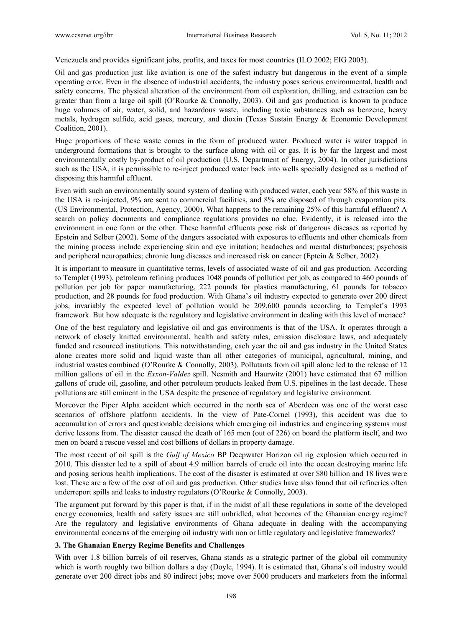Venezuela and provides significant jobs, profits, and taxes for most countries (ILO 2002; EIG 2003).

Oil and gas production just like aviation is one of the safest industry but dangerous in the event of a simple operating error. Even in the absence of industrial accidents, the industry poses serious environmental, health and safety concerns. The physical alteration of the environment from oil exploration, drilling, and extraction can be greater than from a large oil spill (O'Rourke & Connolly, 2003). Oil and gas production is known to produce huge volumes of air, water, solid, and hazardous waste, including toxic substances such as benzene, heavy metals, hydrogen sulfide, acid gases, mercury, and dioxin (Texas Sustain Energy & Economic Development Coalition, 2001).

Huge proportions of these waste comes in the form of produced water. Produced water is water trapped in underground formations that is brought to the surface along with oil or gas. It is by far the largest and most environmentally costly by-product of oil production (U.S. Department of Energy, 2004). In other jurisdictions such as the USA, it is permissible to re-inject produced water back into wells specially designed as a method of disposing this harmful effluent.

Even with such an environmentally sound system of dealing with produced water, each year 58% of this waste in the USA is re-injected, 9% are sent to commercial facilities, and 8% are disposed of through evaporation pits. (US Environmental, Protection, Agency, 2000). What happens to the remaining 25% of this harmful effluent? A search on policy documents and compliance regulations provides no clue. Evidently, it is released into the environment in one form or the other. These harmful effluents pose risk of dangerous diseases as reported by Epstein and Selber (2002). Some of the dangers associated with exposures to effluents and other chemicals from the mining process include experiencing skin and eye irritation; headaches and mental disturbances; psychosis and peripheral neuropathies; chronic lung diseases and increased risk on cancer (Eptein & Selber, 2002).

It is important to measure in quantitative terms, levels of associated waste of oil and gas production. According to Templet (1993), petroleum refining produces 1048 pounds of pollution per job, as compared to 460 pounds of pollution per job for paper manufacturing, 222 pounds for plastics manufacturing, 61 pounds for tobacco production, and 28 pounds for food production. With Ghana's oil industry expected to generate over 200 direct jobs, invariably the expected level of pollution would be 209,600 pounds according to Templet's 1993 framework. But how adequate is the regulatory and legislative environment in dealing with this level of menace?

One of the best regulatory and legislative oil and gas environments is that of the USA. It operates through a network of closely knitted environmental, health and safety rules, emission disclosure laws, and adequately funded and resourced institutions. This notwithstanding, each year the oil and gas industry in the United States alone creates more solid and liquid waste than all other categories of municipal, agricultural, mining, and industrial wastes combined (O'Rourke & Connolly, 2003). Pollutants from oil spill alone led to the release of 12 million gallons of oil in the *Exxon-Valdez* spill. Nesmith and Haurwitz (2001) have estimated that 67 million gallons of crude oil, gasoline, and other petroleum products leaked from U.S. pipelines in the last decade. These pollutions are still eminent in the USA despite the presence of regulatory and legislative environment.

Moreover the Piper Alpha accident which occurred in the north sea of Aberdeen was one of the worst case scenarios of offshore platform accidents. In the view of Pate-Cornel (1993), this accident was due to accumulation of errors and questionable decisions which emerging oil industries and engineering systems must derive lessons from. The disaster caused the death of 165 men (out of 226) on board the platform itself, and two men on board a rescue vessel and cost billions of dollars in property damage.

The most recent of oil spill is the *Gulf of Mexico* BP Deepwater Horizon oil rig explosion which occurred in 2010. This disaster led to a spill of about 4.9 million barrels of crude oil into the ocean destroying marine life and posing serious health implications. The cost of the disaster is estimated at over \$80 billion and 18 lives were lost. These are a few of the cost of oil and gas production. Other studies have also found that oil refineries often underreport spills and leaks to industry regulators (O'Rourke & Connolly, 2003).

The argument put forward by this paper is that, if in the midst of all these regulations in some of the developed energy economies, health and safety issues are still unbridled, what becomes of the Ghanaian energy regime? Are the regulatory and legislative environments of Ghana adequate in dealing with the accompanying environmental concerns of the emerging oil industry with non or little regulatory and legislative frameworks?

## **3. The Ghanaian Energy Regime Benefits and Challenges**

With over 1.8 billion barrels of oil reserves, Ghana stands as a strategic partner of the global oil community which is worth roughly two billion dollars a day (Doyle, 1994). It is estimated that, Ghana's oil industry would generate over 200 direct jobs and 80 indirect jobs; move over 5000 producers and marketers from the informal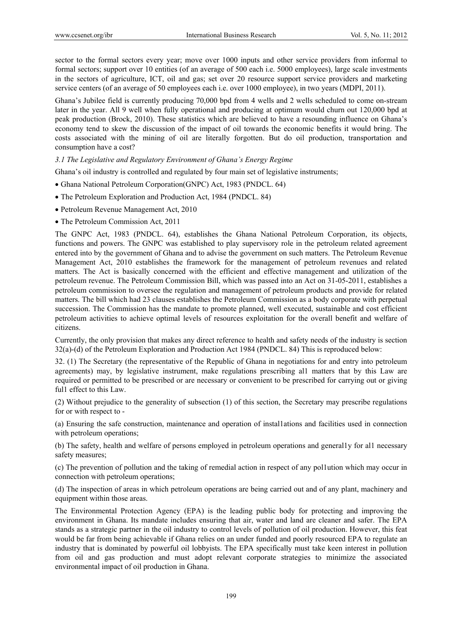sector to the formal sectors every year; move over 1000 inputs and other service providers from informal to formal sectors; support over 10 entities (of an average of 500 each i.e. 5000 employees), large scale investments in the sectors of agriculture, ICT, oil and gas; set over 20 resource support service providers and marketing service centers (of an average of 50 employees each i.e. over 1000 employee), in two years (MDPI, 2011).

Ghana's Jubilee field is currently producing 70,000 bpd from 4 wells and 2 wells scheduled to come on-stream later in the year. All 9 well when fully operational and producing at optimum would churn out 120,000 bpd at peak production (Brock, 2010). These statistics which are believed to have a resounding influence on Ghana's economy tend to skew the discussion of the impact of oil towards the economic benefits it would bring. The costs associated with the mining of oil are literally forgotten. But do oil production, transportation and consumption have a cost?

#### *3.1 The Legislative and Regulatory Environment of Ghana's Energy Regime*

Ghana's oil industry is controlled and regulated by four main set of legislative instruments;

- Ghana National Petroleum Corporation(GNPC) Act, 1983 (PNDCL. 64)
- The Petroleum Exploration and Production Act, 1984 (PNDCL. 84)
- Petroleum Revenue Management Act, 2010
- The Petroleum Commission Act, 2011

The GNPC Act, 1983 (PNDCL. 64), establishes the Ghana National Petroleum Corporation, its objects, functions and powers. The GNPC was established to play supervisory role in the petroleum related agreement entered into by the government of Ghana and to advise the government on such matters. The Petroleum Revenue Management Act, 2010 establishes the framework for the management of petroleum revenues and related matters. The Act is basically concerned with the efficient and effective management and utilization of the petroleum revenue. The Petroleum Commission Bill, which was passed into an Act on 31-05-2011, establishes a petroleum commission to oversee the regulation and management of petroleum products and provide for related matters. The bill which had 23 clauses establishes the Petroleum Commission as a body corporate with perpetual succession. The Commission has the mandate to promote planned, well executed, sustainable and cost efficient petroleum activities to achieve optimal levels of resources exploitation for the overall benefit and welfare of citizens.

Currently, the only provision that makes any direct reference to health and safety needs of the industry is section 32(a)-(d) of the Petroleum Exploration and Production Act 1984 (PNDCL. 84) This is reproduced below:

32. (1) The Secretary (the representative of the Republic of Ghana in negotiations for and entry into petroleum agreements) may, by legislative instrument, make regulations prescribing al1 matters that by this Law are required or permitted to be prescribed or are necessary or convenient to be prescribed for carrying out or giving ful1 effect to this Law.

(2) Without prejudice to the generality of subsection (1) of this section, the Secretary may prescribe regulations for or with respect to -

(a) Ensuring the safe construction, maintenance and operation of instal1ations and facilities used in connection with petroleum operations;

(b) The safety, health and welfare of persons employed in petroleum operations and general1y for al1 necessary safety measures;

(c) The prevention of pollution and the taking of remedial action in respect of any pol1ution which may occur in connection with petroleum operations;

(d) The inspection of areas in which petroleum operations are being carried out and of any plant, machinery and equipment within those areas.

The Environmental Protection Agency (EPA) is the leading public body for protecting and improving the environment in Ghana. Its mandate includes ensuring that air, water and land are cleaner and safer. The EPA stands as a strategic partner in the oil industry to control levels of pollution of oil production. However, this feat would be far from being achievable if Ghana relies on an under funded and poorly resourced EPA to regulate an industry that is dominated by powerful oil lobbyists. The EPA specifically must take keen interest in pollution from oil and gas production and must adopt relevant corporate strategies to minimize the associated environmental impact of oil production in Ghana.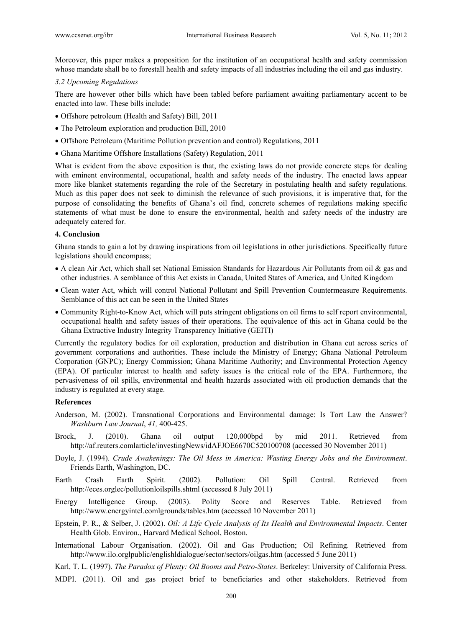Moreover, this paper makes a proposition for the institution of an occupational health and safety commission whose mandate shall be to forestall health and safety impacts of all industries including the oil and gas industry.

#### *3.2 Upcoming Regulations*

There are however other bills which have been tabled before parliament awaiting parliamentary accent to be enacted into law. These bills include:

- Offshore petroleum (Health and Safety) Bill, 2011
- The Petroleum exploration and production Bill, 2010
- Offshore Petroleum (Maritime Pollution prevention and control) Regulations, 2011
- Ghana Maritime Offshore Installations (Safety) Regulation, 2011

What is evident from the above exposition is that, the existing laws do not provide concrete steps for dealing with eminent environmental, occupational, health and safety needs of the industry. The enacted laws appear more like blanket statements regarding the role of the Secretary in postulating health and safety regulations. Much as this paper does not seek to diminish the relevance of such provisions, it is imperative that, for the purpose of consolidating the benefits of Ghana's oil find, concrete schemes of regulations making specific statements of what must be done to ensure the environmental, health and safety needs of the industry are adequately catered for.

#### **4. Conclusion**

Ghana stands to gain a lot by drawing inspirations from oil legislations in other jurisdictions. Specifically future legislations should encompass;

- A clean Air Act, which shall set National Emission Standards for Hazardous Air Pollutants from oil & gas and other industries. A semblance of this Act exists in Canada, United States of America, and United Kingdom
- Clean water Act, which will control National Pollutant and Spill Prevention Countermeasure Requirements. Semblance of this act can be seen in the United States
- Community Right-to-Know Act, which will puts stringent obligations on oil firms to self report environmental, occupational health and safety issues of their operations. The equivalence of this act in Ghana could be the Ghana Extractive Industry Integrity Transparency Initiative (GEITI)

Currently the regulatory bodies for oil exploration, production and distribution in Ghana cut across series of government corporations and authorities. These include the Ministry of Energy; Ghana National Petroleum Corporation (GNPC); Energy Commission; Ghana Maritime Authority; and Environmental Protection Agency (EPA). Of particular interest to health and safety issues is the critical role of the EPA. Furthermore, the pervasiveness of oil spills, environmental and health hazards associated with oil production demands that the industry is regulated at every stage.

#### **References**

- Anderson, M. (2002). Transnational Corporations and Environmental damage: Is Tort Law the Answer? *Washburn Law Journal*, *41,* 400-425.
- Brock, J. (2010). Ghana oil output 120,000bpd by mid 2011. Retrieved from http://af.reuters.comlarticle/investingNews/idAFJOE6670C520100708 (accessed 30 November 2011)
- Doyle, J. (1994). *Crude Awakenings: The Oil Mess in America: Wasting Energy Jobs and the Environment*. Friends Earth, Washington, DC.
- Earth Crash Earth Spirit. (2002). Pollution: Oil Spill Central. Retrieved from http://eces.orglec/pollutionloilspills.shtml (accessed 8 July 2011)
- Energy Intelligence Group. (2003). Polity Score and Reserves Table. Retrieved from http://www.energyintel.comlgrounds/tables.htm (accessed 10 November 2011)
- Epstein, P. R., & Selber, J. (2002). *Oil: A Life Cycle Analysis of Its Health and Environmental Impacts*. Center Health Glob. Environ., Harvard Medical School, Boston.
- International Labour Organisation. (2002). Oil and Gas Production; Oil Refining. Retrieved from http://www.ilo.orglpublic/englishldialogue/sector/sectors/oilgas.htm (accessed 5 June 2011)

Karl, T. L. (1997). *The Paradox of Plenty: Oil Booms and Petro-States*. Berkeley: University of California Press.

MDPI. (2011). Oil and gas project brief to beneficiaries and other stakeholders. Retrieved from